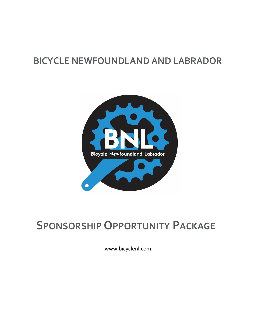#### **BICYCLE NEWFOUNDLAND AND LABRADOR**



### **SPONSORSHIP OPPORTUNITY PACKAGE**

www.bicyclenl.com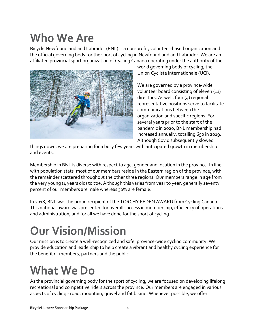### **Who We Are**

Bicycle Newfoundland and Labrador (BNL) is a non-profit, volunteer-based organization and the official governing body for the sport of cycling in Newfoundland and Labrador. We are an affiliated provincial sport organization of Cycling Canada operating under the authority of the



world governing body of cycling, the Union Cycliste Internationale (UCI).

We are governed by a province-wide volunteer board consisting of eleven (11) directors. As well, four (4) regional representative positions serve to facilitate communications between the organization and specific regions. For several years prior to the start of the pandemic in 2020, BNL membership had increased annually, totalling 650 in 2019. Although Covid subsequently slowed

things down, we are preparing for a busy few years with anticipated growth in membership and events.

Membership in BNL is diverse with respect to age, gender and location in the province. In line with population stats, most of our members reside in the Eastern region of the province, with the remainder scattered throughout the other three regions. Our members range in age from the very young (4 years old) to 70+. Although this varies from year to year, generally seventy percent of our members are male whereas 30% are female.

In 2018, BNL was the proud recipient of the TORCHY PEDEN AWARD from Cycling Canada. This national award was presented for overall success in membership, efficiency of operations and administration, and for all we have done for the sport of cycling.

# **Our Vision/Mission**

Our mission is to create a well-recognized and safe, province-wide cycling community. We provide education and leadership to help create a vibrant and healthy cycling experience for the benefit of members, partners and the public.

## **What We Do**

As the provincial governing body for the sport of cycling, we are focused on developing lifelong recreational and competitive riders across the province. Our members are engaged in various aspects of cycling - road, mountain, gravel and fat biking. Whenever possible, we offer

BicycleNL 2022 Sponsorship Package 1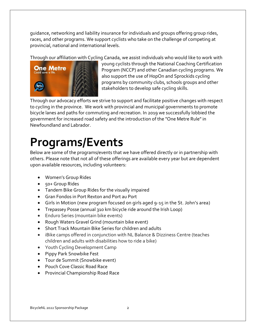guidance, networking and liability insurance for individuals and groups offering group rides, races, and other programs. We support cyclists who take on the challenge of competing at provincial, national and international levels.

Through our affiliation with Cycling Canada, we assist individuals who would like to work with



young cyclists through the National Coaching Certification Program (NCCP) and other Canadian cycling programs. We also support the use of HopOn and Sprockids cycling programs by community clubs, schools groups and other stakeholders to develop safe cycling skills.

Through our advocacy efforts we strive to support and facilitate positive changes with respect to cycling in the province. We work with provincial and municipal governments to promote bicycle lanes and paths for commuting and recreation. In 2019 we successfully lobbied the government for increased road safety and the introduction of the "One Metre Rule" in Newfoundland and Labrador.

## **Programs/Events**

Below are some of the programs/events that we have offered directly or in partnership with others. Please note that not all of these offerings are available every year but are dependent upon available resources, including volunteers:

- Women's Group Rides
- 50+ Group Rides
- Tandem Bike Group Rides for the visually impaired
- Gran Fondos in Port Rexton and Port au Port
- Girls in Motion (new program focused on girls aged 9-15 in the St. John's area)
- Trepassey Posse (annual 310 km bicycle ride around the Irish Loop)
- Enduro Series (mountain bike events)
- Rough Waters Gravel Grind (mountain bike event)
- Short Track Mountain Bike Series for children and adults
- iBike camps offered in conjunction with NL Balance & Dizziness Centre (teaches children and adults with disabilities how to ride a bike)
- Youth Cycling Development Camp
- Pippy Park Snowbike Fest
- Tour de Summit (Snowbike event)
- Pouch Cove Classic Road Race
- Provincial Championship Road Race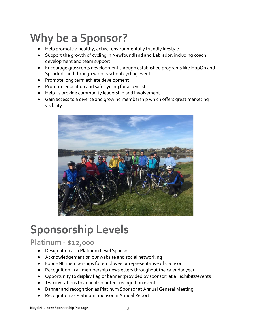## **Why be a Sponsor?**

- Help promote a healthy, active, environmentally friendly lifestyle
- Support the growth of cycling in Newfoundland and Labrador, including coach development and team support
- Encourage grassroots development through established programs like HopOn and Sprockids and through various school cycling events
- Promote long term athlete development
- Promote education and safe cycling for all cyclists
- Help us provide community leadership and involvement
- Gain access to a diverse and growing membership which offers great marketing visibility



## **Sponsorship Levels**

#### **Platinum - \$12,000**

- Designation as a Platinum Level Sponsor
- Acknowledgement on our website and social networking
- Four BNL memberships for employee or representative of sponsor
- Recognition in all membership newsletters throughout the calendar year
- Opportunity to display flag or banner (provided by sponsor) at all exhibits/events
- Two invitations to annual volunteer recognition event
- Banner and recognition as Platinum Sponsor at Annual General Meeting
- Recognition as Platinum Sponsor in Annual Report

BicycleNL 2022 Sponsorship Package 3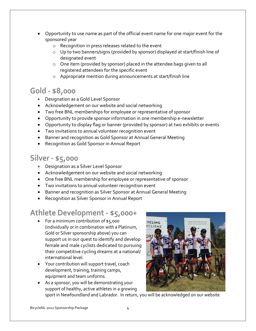- Opportunity to use name as part of the official event name for one major event for the sponsored year
	- o Recognition in press releases related to the event
	- o Up to two banners/signs (provided by sponsor) displayed at start/finish line of designated event
	- o One item (provided by sponsor) placed in the attendee bags given to all registered attendees for the specific event
	- o Appropriate mention during announcements at start/finish line

#### **Gold - \$8,000**

- Designation as a Gold Level Sponsor
- Acknowledgement on our website and social networking
- Two free BNL memberships for employee or representative of sponsor
- Opportunity to provide sponsor information in one membership e-newsletter
- Opportunity to display flag or banner (provided by sponsor) at two exhibits or events
- Two invitations to annual volunteer recognition event
- Banner and recognition as Gold Sponsor at Annual General Meeting
- Recognition as Gold Sponsor in Annual Report

#### **Silver - \$5,000**

- Designation as a Silver Level Sponsor
- Acknowledgement on our website and social networking
- One free BNL membership for employee or representative of sponsor
- Two invitations to annual volunteer recognition event
- Banner and recognition as Silver Sponsor at Annual General Meeting
- Recognition as Silver Sponsor in Annual Report

#### **Athlete Development - \$5,000+**

- For a minimum contribution of \$5,000 (individually or in combination with a Platinum, Gold or Silver sponsorship above) you can support us in our quest to identify and develop female and male cyclists dedicated to pursuing their competitive cycling dreams at a national/ international level.
- Your contribution will support travel, coach development, training, training camps, equipment and team uniforms.
- As a sponsor, you will be demonstrating your support of healthy, active athletes in a growing sport in Newfoundland and Labrador. In return, you will be acknowledged on our website